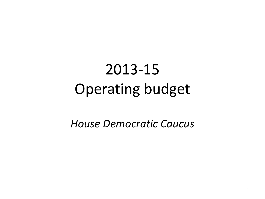# 2013-15 Operating budget

*House Democratic Caucus*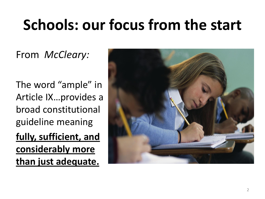# **Schools: our focus from the start**

From *McCleary:*

The word "ample" in Article IX…provides a broad constitutional guideline meaning **fully, sufficient, and considerably more than just adequate.**

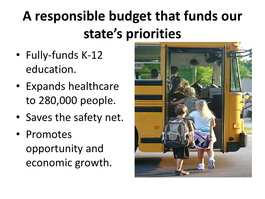# **A responsible budget that funds our state's priorities**

- Fully-funds K-12 education.
- Expands healthcare to 280,000 people.
- Saves the safety net.
- Promotes opportunity and economic growth.

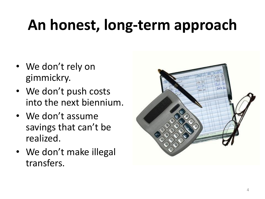# **An honest, long-term approach**

- We don't rely on gimmickry.
- We don't push costs into the next biennium.
- We don't assume savings that can't be realized.
- We don't make illegal transfers.

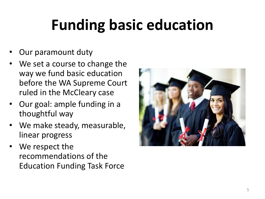# **Funding basic education**

- Our paramount duty
- We set a course to change the way we fund basic education before the WA Supreme Court ruled in the McCleary case
- Our goal: ample funding in a thoughtful way
- We make steady, measurable, linear progress
- We respect the recommendations of the Education Funding Task Force

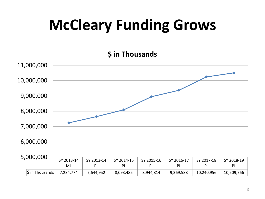# **McCleary Funding Grows**

#### **\$ in Thousands**

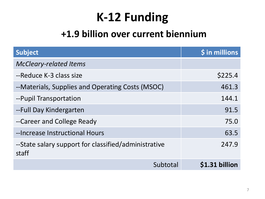## **K-12 Funding**

#### **+1.9 billion over current biennium**

| <b>Subject</b>                                                | \$ in millions |
|---------------------------------------------------------------|----------------|
| <b>McCleary-related Items</b>                                 |                |
| --Reduce K-3 class size                                       | \$225.4        |
| --Materials, Supplies and Operating Costs (MSOC)              | 461.3          |
| --Pupil Transportation                                        | 144.1          |
| --Full Day Kindergarten                                       | 91.5           |
| --Career and College Ready                                    | 75.0           |
| --Increase Instructional Hours                                | 63.5           |
| --State salary support for classified/administrative<br>staff | 247.9          |
| Subtotal                                                      | \$1.31 billion |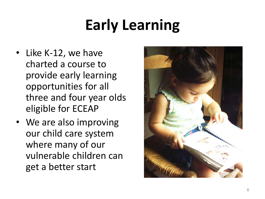# **Early Learning**

- Like K-12, we have charted a course to provide early learning opportunities for all three and four year olds eligible for ECEAP
- We are also improving our child care system where many of our vulnerable children can get a better start

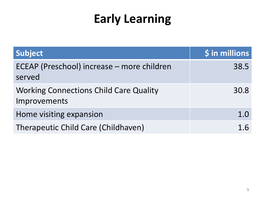## **Early Learning**

| Subject                                                       | \$ in millions |
|---------------------------------------------------------------|----------------|
| ECEAP (Preschool) increase – more children<br>served          | 38.5           |
| <b>Working Connections Child Care Quality</b><br>Improvements | 30.8           |
| Home visiting expansion                                       | 1.0            |
| Therapeutic Child Care (Childhaven)                           | 1.6            |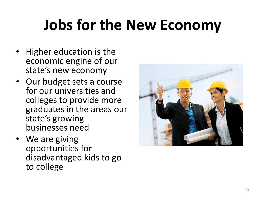# **Jobs for the New Economy**

- Higher education is the economic engine of our state's new economy
- Our budget sets a course for our universities and colleges to provide more graduates in the areas our state's growing businesses need
- We are giving opportunities for disadvantaged kids to go to college

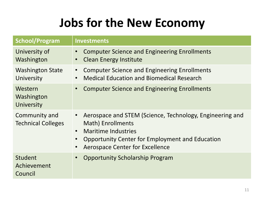### **Jobs for the New Economy**

| <b>School/Program</b>                      | <b>Investments</b>                                                                                                                                                                                                                                           |
|--------------------------------------------|--------------------------------------------------------------------------------------------------------------------------------------------------------------------------------------------------------------------------------------------------------------|
| University of<br>Washington                | <b>Computer Science and Engineering Enrollments</b><br><b>Clean Energy Institute</b><br>$\bullet$                                                                                                                                                            |
| <b>Washington State</b><br>University      | <b>Computer Science and Engineering Enrollments</b><br>$\bullet$<br><b>Medical Education and Biomedical Research</b><br>$\bullet$                                                                                                                            |
| Western<br>Washington<br>University        | <b>Computer Science and Engineering Enrollments</b>                                                                                                                                                                                                          |
| Community and<br><b>Technical Colleges</b> | Aerospace and STEM (Science, Technology, Engineering and<br>$\bullet$<br>Math) Enrollments<br><b>Maritime Industries</b><br>$\bullet$<br>Opportunity Center for Employment and Education<br>$\bullet$<br><b>Aerospace Center for Excellence</b><br>$\bullet$ |
| Student<br>Achievement<br>Council          | <b>Opportunity Scholarship Program</b>                                                                                                                                                                                                                       |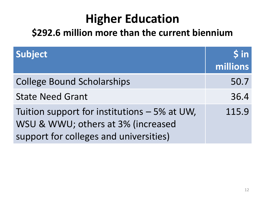### **Higher Education**

#### **\$292.6 million more than the current biennium**

| Subject                                                                                                                      | $\sin$<br>millions |
|------------------------------------------------------------------------------------------------------------------------------|--------------------|
| <b>College Bound Scholarships</b>                                                                                            | 50.7               |
| <b>State Need Grant</b>                                                                                                      | 36.4               |
| Tuition support for institutions – 5% at UW,<br>WSU & WWU; others at 3% (increased<br>support for colleges and universities) | 115.9              |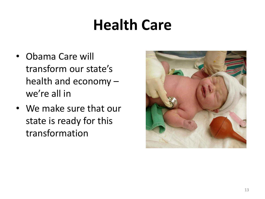## **Health Care**

- Obama Care will transform our state's health and economy – we're all in
- We make sure that our state is ready for this transformation

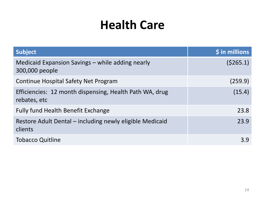#### **Health Care**

| <b>Subject</b>                                                          | $$$ in millions |
|-------------------------------------------------------------------------|-----------------|
| Medicaid Expansion Savings – while adding nearly<br>300,000 people      | (5265.1)        |
| Continue Hospital Safety Net Program                                    | (259.9)         |
| Efficiencies: 12 month dispensing, Health Path WA, drug<br>rebates, etc | (15.4)          |
| <b>Fully fund Health Benefit Exchange</b>                               | 23.8            |
| Restore Adult Dental – including newly eligible Medicaid<br>clients     | 23.9            |
| <b>Tobacco Quitline</b>                                                 | 3.9             |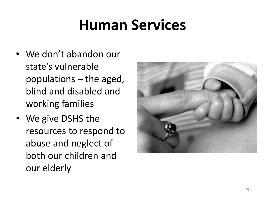# **Human Services**

- We don't abandon our state's vulnerable populations – the aged, blind and disabled and working families
- We give DSHS the resources to respond to abuse and neglect of both our children and our elderly

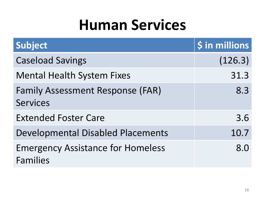## **Human Services**

| Subject                                                     | \$ in millions |
|-------------------------------------------------------------|----------------|
| <b>Caseload Savings</b>                                     | (126.3)        |
| <b>Mental Health System Fixes</b>                           | 31.3           |
| <b>Family Assessment Response (FAR)</b><br><b>Services</b>  | 8.3            |
| <b>Extended Foster Care</b>                                 | 3.6            |
| <b>Developmental Disabled Placements</b>                    | 10.7           |
| <b>Emergency Assistance for Homeless</b><br><b>Families</b> | 8.0            |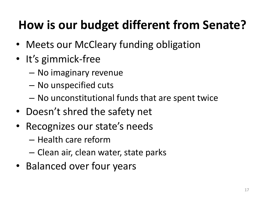## **How is our budget different from Senate?**

- Meets our McCleary funding obligation
- It's gimmick-free
	- No imaginary revenue
	- No unspecified cuts
	- No unconstitutional funds that are spent twice
- Doesn't shred the safety net
- Recognizes our state's needs
	- Health care reform
	- Clean air, clean water, state parks
- Balanced over four years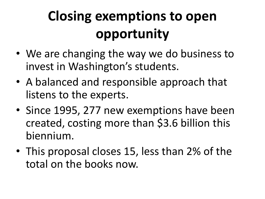# **Closing exemptions to open opportunity**

- We are changing the way we do business to invest in Washington's students.
- A balanced and responsible approach that listens to the experts.
- Since 1995, 277 new exemptions have been created, costing more than \$3.6 billion this biennium.
- This proposal closes 15, less than 2% of the total on the books now.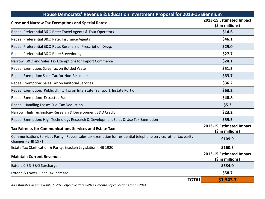| House Democrats' Revenue & Education Investment Proposal for 2013-15 Biennium                                                        |                                              |
|--------------------------------------------------------------------------------------------------------------------------------------|----------------------------------------------|
| <b>Close and Narrow Tax Exemptions and Special Rates:</b>                                                                            | 2013-15 Estimated Impact<br>(\$ in millions) |
| Repeal Preferential B&O Rate: Travel Agents & Tour Operators                                                                         | \$14.6                                       |
| Repeal Preferential B&O Rate: Insurance Agents                                                                                       | \$46.1                                       |
| Repeal Preferential B&O Rate: Resellers of Prescription Drugs                                                                        | \$29.0                                       |
| Repeal Preferential B&O Rate: Stevedoring                                                                                            | \$27.7                                       |
| Narrow: B&O and Sales Tax Exemptions for Import Commerce                                                                             | \$24.1                                       |
| Repeal Exemption: Sales Tax on Bottled Water                                                                                         | \$51.5                                       |
| Repeal Exemption: Sales Tax for Non-Residents                                                                                        | \$63.7                                       |
| Repeal Exemption: Sales Tax on Janitorial Services                                                                                   | \$36.2                                       |
| Repeal Exemption: Public Utility Tax on Interstate Transport, Instate Portion                                                        | \$63.2                                       |
| Repeal Exemption: Extracted Fuel                                                                                                     | \$40.8                                       |
| Repeal: Handling Losses Fuel Tax Deduction                                                                                           | \$5.2                                        |
| Narrow: High Technology Research & Development B&O Credit                                                                            | \$23.2                                       |
| Repeal Exemption: High Technology Research & Development Sales & Use Tax Exemption                                                   | \$55.5                                       |
| Tax Fairness for Communications Services and Estate Tax:                                                                             | 2013-15 Estimated Impact<br>(\$ in millions) |
| Communications Services Parity: Repeal sales tax exemption for residential telephone service, other tax parity<br>changes - SHB 1971 | \$109.9                                      |
| Estate Tax Clarification & Parity: Bracken Legislation - HB 1920                                                                     | \$160.3                                      |
| <b>Maintain Current Revenues:</b>                                                                                                    | 2013-15 Estimated Impact<br>(\$ in millions) |
| Extend 0.3% B&O Surcharge                                                                                                            | \$534.0                                      |
| Extend & Lower: Beer Tax Increase                                                                                                    | \$58.7                                       |
| <b>TOTAL</b>                                                                                                                         | \$1,343.7                                    |

*All estimates assume a July 1, 2013 effective date with 11 months of collections for FY 2014*